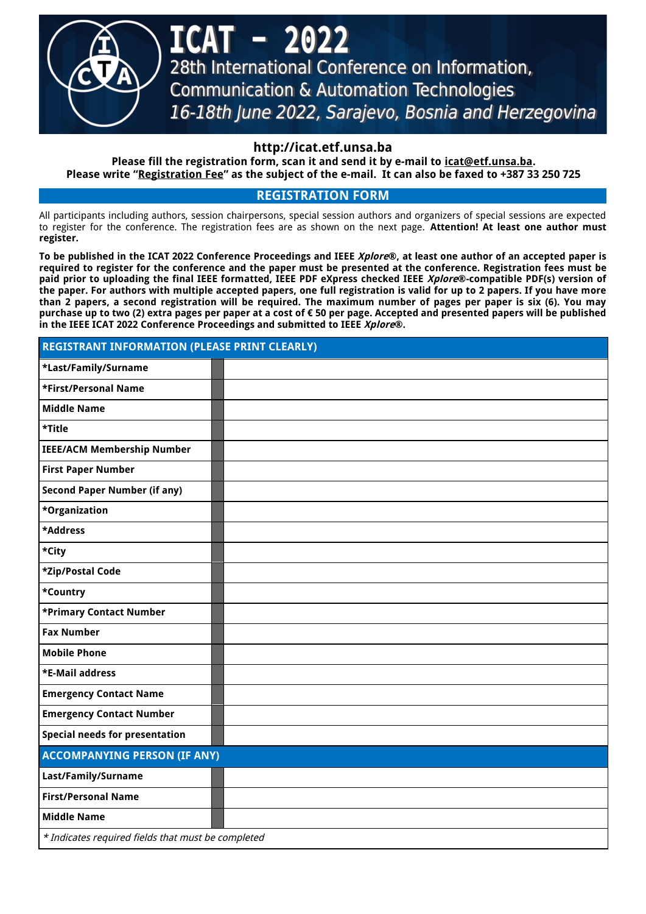

- 202 28th International Conference on Information, **Communication & Automation Technologies** 16-18th June 2022, Sarajevo, Bosnia and Herzegovina

# **http://icat.etf.unsa.ba**

**Please fill the registration form, scan it and send it by e-mail to [icat@etf.unsa.ba](mailto:icat@etf.unsa.ba). Please write "Registration Fee" as the subject of the e-mail. It can also be faxed to +387 33 250 725**

## **REGISTRATION FORM**

All participants including authors, session chairpersons, special session authors and organizers of special sessions are expected to register for the conference. The registration fees are as shown on the next page. **Attention! At least one author must register.**

To be published in the ICAT 2022 Conference Proceedings and IEEE Xplore®, at least one author of an accepted paper is **required to register for the conference and the paper must be presented at the conference. Registration fees must be paid prior to uploading the final IEEE formatted, IEEE PDF eXpress checked IEEE Xplore®-compatible PDF(s) version of** the paper. For authors with multiple accepted papers, one full registration is valid for up to 2 papers. If you have more than 2 papers, a second registration will be required. The maximum number of pages per paper is six (6). You may **purchase up to two (2) extra pages per paper at a cost of € 50 per page. Accepted and presented papers will be published in the IEEE ICAT 2022 Conference Proceedings and submitted to IEEE Xplore®.**

| <b>REGISTRANT INFORMATION (PLEASE PRINT CLEARLY)</b> |  |  |  |  |
|------------------------------------------------------|--|--|--|--|
| *Last/Family/Surname                                 |  |  |  |  |
| *First/Personal Name                                 |  |  |  |  |
| <b>Middle Name</b>                                   |  |  |  |  |
| *Title                                               |  |  |  |  |
| <b>IEEE/ACM Membership Number</b>                    |  |  |  |  |
| <b>First Paper Number</b>                            |  |  |  |  |
| <b>Second Paper Number (if any)</b>                  |  |  |  |  |
| *Organization                                        |  |  |  |  |
| *Address                                             |  |  |  |  |
| *City                                                |  |  |  |  |
| *Zip/Postal Code                                     |  |  |  |  |
| *Country                                             |  |  |  |  |
| *Primary Contact Number                              |  |  |  |  |
| <b>Fax Number</b>                                    |  |  |  |  |
| <b>Mobile Phone</b>                                  |  |  |  |  |
| *E-Mail address                                      |  |  |  |  |
| <b>Emergency Contact Name</b>                        |  |  |  |  |
| <b>Emergency Contact Number</b>                      |  |  |  |  |
| <b>Special needs for presentation</b>                |  |  |  |  |
| <b>ACCOMPANYING PERSON (IF ANY)</b>                  |  |  |  |  |
| Last/Family/Surname                                  |  |  |  |  |
| <b>First/Personal Name</b>                           |  |  |  |  |
| <b>Middle Name</b>                                   |  |  |  |  |
| * Indicates required fields that must be completed   |  |  |  |  |